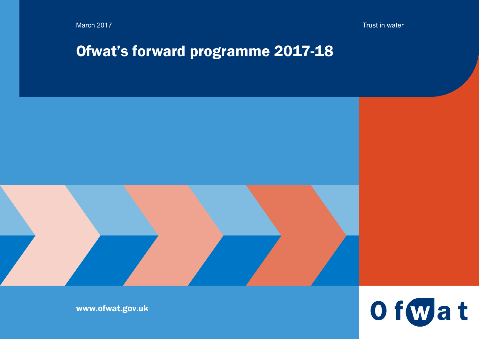March 2017 Trust in water

# Ofwat's forward programme 2017-18





www.ofwat.gov.uk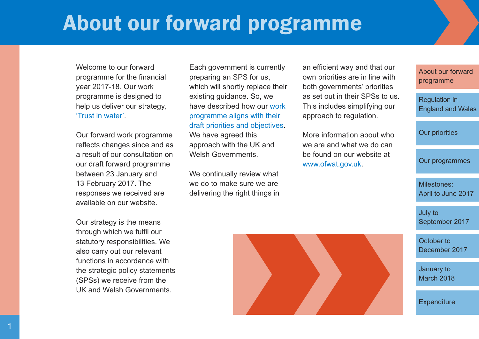# <span id="page-1-0"></span>About our forward programme

Welcome to our forward programme for the financial year 2017-18. Our work programme is designed to help us deliver our strategy, 'Trust in [water'.](http://www.ofwat.gov.uk/about-us/meeting-the-challenges/)

Our forward work programme reflects changes since and as a result of our consultation on our draft forward programme between 23 January and 13 February 2017. The responses we received are available on our website.

Our strategy is the means through which we fulfil our statutory responsibilities. We also carry out our relevant functions in accordance with the strategic policy statements (SPSs) we receive from the UK and Welsh Governments.

Each government is currently preparing an SPS for us, which will shortly replace their existing guidance. So, we have described how our [work](URL  http://www.ofwat.gov.uk/consultation/forward-programme-consultation/) [programme](URL  http://www.ofwat.gov.uk/consultation/forward-programme-consultation/) aligns with their draft priorities and [objectives.](URL  http://www.ofwat.gov.uk/consultation/forward-programme-consultation/)

We have agreed this approach with the UK and Welsh Governments.

We continually review what we do to make sure we are delivering the right things in an efficient way and that our own priorities are in line with both governments' priorities as set out in their SPSs to us. This includes simplifying our approach to regulation.

More information about who we are and what we do can be found on our website at [www.ofwat.gov.uk.](http://www.ofwat.gov.uk/)

About our forward [programme](#page-1-0)

[Regulation](#page-2-0) in England and Wales

Our [priorities](#page-3-0)

Our [programmes](#page-4-0)

[Milestones:](#page-5-0) April to June 2017

July to [September](#page-6-0) 2017

October to [December](#page-7-0) 2017

[January](#page-8-0) to March 2018

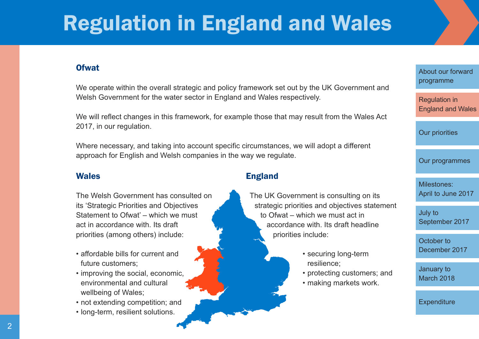# <span id="page-2-0"></span>Regulation in England and Wales

### **Ofwat**

We operate within the overall strategic and policy framework set out by the UK Government and Welsh Government for the water sector in England and Wales respectively.

We will reflect changes in this framework, for example those that may result from the Wales Act 2017, in our regulation.

Where necessary, and taking into account specific circumstances, we will adopt a different approach for English and Welsh companies in the way we regulate.

#### Wales

The Welsh Government has consulted on its 'Strategic Priorities and Objectives Statement to Ofwat' – which we must act in accordance with. Its draft priorities (among others) include:

- affordable bills for current and future customers;
- improving the social, economic, environmental and cultural wellbeing of Wales;
- not extending competition; and
- long-term, resilient solutions.

### England

The UK Government is consulting on its strategic priorities and objectives statement to Ofwat – which we must act in accordance with. Its draft headline priorities include:

- securing long-term resilience;
- protecting customers; and
- making markets work.

About our forward [programme](#page-1-0)

[Regulation](#page-2-0) in England and Wales

Our [priorities](#page-3-0)

Our [programmes](#page-4-0)

[Milestones:](#page-5-0) April to June 2017

July to [September](#page-6-0) 2017

October to [December](#page-7-0) 2017

[January](#page-8-0) to March 2018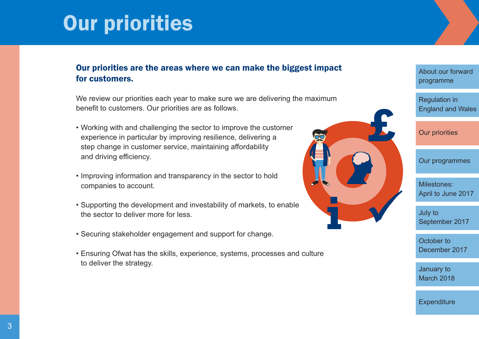# <span id="page-3-0"></span>Our priorities

# Our priorities are the areas where we can make the biggest impact for customers.

We review our priorities each year to make sure we are delivering the maximum benefit to customers. Our priorities are as follows.

- Working with and challenging the sector to improve the customer experience in particular by improving resilience, delivering a step change in customer service, maintaining affordability and driving efficiency.
- Improving information and transparency in the sector to hold companies to account.
- Supporting the development and investability of markets, to enable the sector to deliver more for less.
- Securing stakeholder engagement and support for change.
- Ensuring Ofwat has the skills, experience, systems, processes and culture to deliver the strategy.



About our forward [programme](#page-1-0)

[Regulation](#page-2-0) in England and Wales

Our [priorities](#page-3-0)

Our [programmes](#page-4-0)

[Milestones:](#page-5-0) April to June 2017

July to [September](#page-6-0) 2017

October to [December](#page-7-0) 2017

[January](#page-8-0) to March 2018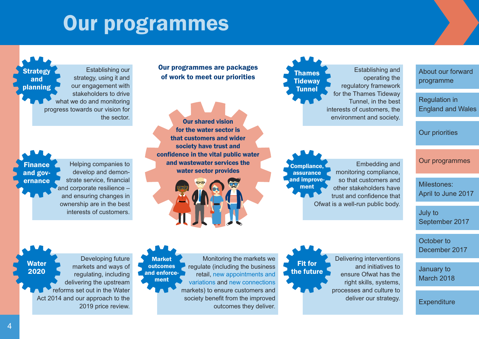# Our programmes

<span id="page-4-0"></span>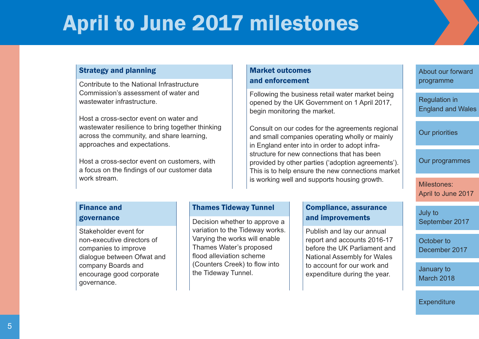# <span id="page-5-0"></span>April to June 2017 milestones

#### Strategy and planning

Contribute to the National Infrastructure Commission's assessment of water and wastewater infrastructure.

Host a cross-sector event on water and wastewater resilience to bring together thinking across the community, and share learning, approaches and expectations.

Host a cross-sector event on customers, with a focus on the findings of our customer data work stream.

## Market outcomes and enforcement

Following the business retail water market being opened by the UK Government on 1 April 2017, begin monitoring the market.

Consult on our codes for the agreements regional and small companies operating wholly or mainly in England enter into in order to adopt infrastructure for new connections that has been provided by other parties ('adoption agreements'). This is to help ensure the new connections market is working well and supports housing growth.

# About our forward [programme](#page-1-0)

[Regulation](#page-2-0) in England and Wales

Our [priorities](#page-3-0)

Our [programmes](#page-4-0)

[Milestones:](#page-5-0) April to June 2017

#### Finance and governance

Stakeholder event for non-executive directors of companies to improve dialogue between Ofwat and company Boards and encourage good corporate governance.

#### Thames Tideway Tunnel

Decision whether to approve a variation to the Tideway works. Varying the works will enable Thames Water's proposed flood alleviation scheme (Counters Creek) to flow into the Tideway Tunnel.

### Compliance, assurance and improvements

Publish and lay our annual report and accounts 2016-17 before the UK Parliament and National Assembly for Wales to account for our work and expenditure during the year.

July to [September](#page-6-0) 2017

October to [December](#page-7-0) 2017

[January](#page-8-0) to March 2018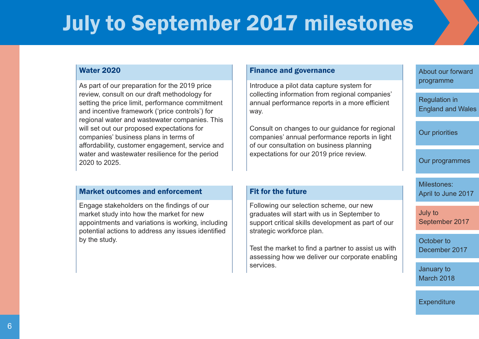# <span id="page-6-0"></span>July to September 2017 milestones

#### Water 2020

As part of our preparation for the 2019 price review, consult on our draft methodology for setting the price limit, performance commitment and incentive framework ('price controls') for regional water and wastewater companies. This will set out our proposed expectations for companies' business plans in terms of affordability, customer engagement, service and water and wastewater resilience for the period 2020 to 2025.

#### Market outcomes and enforcement

Engage stakeholders on the findings of our market study into how the market for new appointments and variations is working, including potential actions to address any issues identified by the study.

#### Finance and governance

Introduce a pilot data capture system for collecting information from regional companies' annual performance reports in a more efficient way.

Consult on changes to our guidance for regional companies' annual performance reports in light of our consultation on business planning expectations for our 2019 price review.

#### Fit for the future

Following our selection scheme, our new graduates will start with us in September to support critical skills development as part of our strategic workforce plan.

Test the market to find a partner to assist us with assessing how we deliver our corporate enabling services.

About our forward [programme](#page-1-0)

[Regulation](#page-2-0) in England and Wales

Our [priorities](#page-3-0)

Our [programmes](#page-4-0)

[Milestones:](#page-5-0) April to June 2017

July to [September](#page-6-0) 2017

October to [December](#page-7-0) 2017

[January](#page-8-0) to March 2018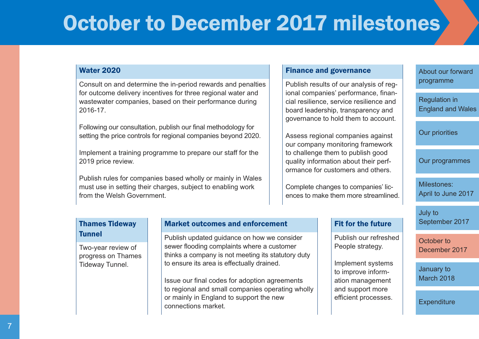# <span id="page-7-0"></span>October to December 2017 milestone[s](#page-9-0)

#### Water 2020

Consult on and determine the in-period rewards and penalties for outcome delivery incentives for three regional water and wastewater companies, based on their performance during 2016-17.

Following our consultation, publish our final methodology for setting the price controls for regional companies beyond 2020.

Implement a training programme to prepare our staff for the 2019 price review.

Publish rules for companies based wholly or mainly in Wales must use in setting their charges, subject to enabling work from the Welsh Government.

#### Finance and governance

Publish results of our analysis of regional companies' performance, financial resilience, service resilience and board leadership, transparency and governance to hold them to account.

Assess regional companies against our company monitoring framework to challenge them to publish good quality information about their performance for customers and others.

Complete changes to companies' licences to make them more streamlined.

#### Fit for the future

Publish our refreshed People strategy.

Implement systems to improve information management and support more efficient processes.

About our forward [programme](#page-1-0)

[Regulation](#page-2-0) in England and Wales

Our [priorities](#page-3-0)

Our [programmes](#page-4-0)

[Milestones:](#page-5-0) April to June 2017

July to [September](#page-6-0) 2017

October to [December](#page-7-0) 2017

[January](#page-8-0) to March 2018

**[Expenditure](#page-9-0)** 

### Thames Tideway **Tunnel**

Two-year review of progress on Thames Tideway Tunnel.

### Market outcomes and enforcement

Publish updated guidance on how we consider sewer flooding complaints where a customer thinks a company is not meeting its statutory duty to ensure its area is effectually drained.

Issue our final codes for adoption agreements to regional and small companies operating wholly or mainly in England to support the new connections market.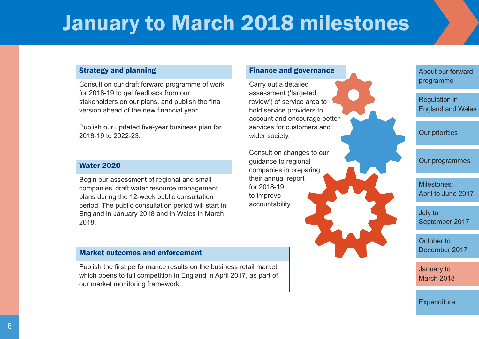# <span id="page-8-0"></span>January to March 2018 milestones

### Strategy and planning

Consult on our draft forward programme of work for 2018-19 to get feedback from our stakeholders on our plans, and publish the final version ahead of the new financial year.

Publish our updated five-year business plan for 2018-19 to 2022-23.

#### Water 2020

Begin our assessment of regional and small companies' draft water resource management plans during the 12-week public consultation period. The public consultation period will start in England in January 2018 and in Wales in March 2018.

#### Market outcomes and enforcement

Publish the first performance results on the business retail market, which opens to full competition in England in April 2017, as part of our market monitoring framework.

### Finance and governance

Carry out a detailed assessment ('targeted review') of service area to hold service providers to account and encourage better services for customers and wider society.

Consult on changes to our guidance to regional companies in preparing their annual report for 2018-19 to improve accountability.

About our forward [programme](#page-1-0)

[Regulation](#page-2-0) in England and Wales

Our [priorities](#page-3-0)

Our [programmes](#page-4-0)

[Milestones:](#page-5-0) April to June 2017

July to [September](#page-6-0) 2017

October to [December](#page-7-0) 2017

[January](#page-8-0) to March 2018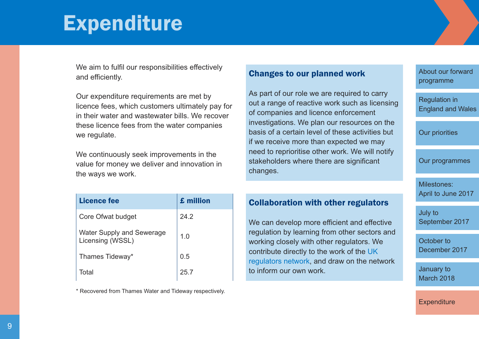# <span id="page-9-0"></span>Expenditure

We aim to fulfil our responsibilities effectively and efficiently.

Our expenditure requirements are met by licence fees, which customers ultimately pay for in their water and wastewater bills. We recover these licence fees from the water companies we regulate.

We continuously seek improvements in the value for money we deliver and innovation in the ways we work.

| Licence fee                                          | £ million |
|------------------------------------------------------|-----------|
| Core Ofwat budget                                    | 24.2      |
| <b>Water Supply and Sewerage</b><br>Licensing (WSSL) | 1.0       |
| Thames Tideway*                                      | 0.5       |
| Total                                                | 25 7      |

\* Recovered from Thames Water and Tideway respectively.

### Changes to our planned work

As part of our role we are required to carry out a range of reactive work such as licensing of companies and licence enforcement investigations. We plan our resources on the basis of a certain level of these activities but if we receive more than expected we may need to reprioritise other work. We will notify stakeholders where there are significant changes.

### Collaboration with other regulators

We can develop more efficient and effective regulation by learning from other sectors and working closely with other regulators. We contribute directly to the work of the [UK](http://www.ukrn.org.uk/) [regulators](http://www.ukrn.org.uk/) network, and draw on the network to inform our own work.

About our forward [programme](#page-1-0)

[Regulation](#page-2-0) in England and Wales

Our [priorities](#page-3-0)

Our [programmes](#page-4-0)

[Milestones:](#page-5-0) April to June 2017

July to [September](#page-6-0) 2017

October to [December](#page-7-0) 2017

[January](#page-8-0) to March 2018